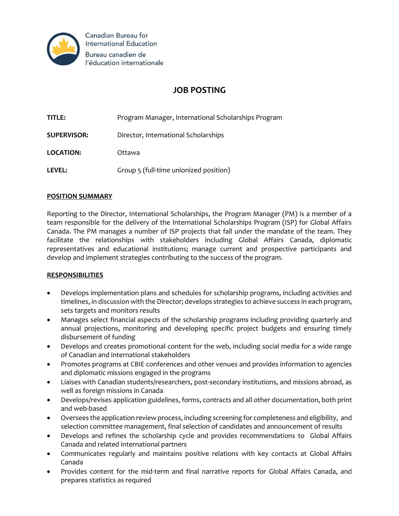

Canadian Bureau for **International Education** Bureau canadien de l'éducation internationale

## **JOB POSTING**

**TITLE:** Program Manager, International Scholarships Program **SUPERVISOR:** Director, International Scholarships **LOCATION:** Ottawa **LEVEL:** Group 5 (full-time unionized position)

## **POSITION SUMMARY**

Reporting to the Director, International Scholarships, the Program Manager (PM) is a member of a team responsible for the delivery of the International Scholarships Program (ISP) for Global Affairs Canada. The PM manages a number of ISP projects that fall under the mandate of the team. They facilitate the relationships with stakeholders including Global Affairs Canada, diplomatic representatives and educational institutions; manage current and prospective participants and develop and implement strategies contributing to the success of the program.

## **RESPONSIBILITIES**

- Develops implementation plans and schedules for scholarship programs, including activities and timelines, in discussion with the Director; develops strategies to achieve success in each program, sets targets and monitors results
- Manages select financial aspects of the scholarship programs including providing quarterly and annual projections, monitoring and developing specific project budgets and ensuring timely disbursement of funding
- Develops and creates promotional content for the web, including social media for a wide range of Canadian and international stakeholders
- Promotes programs at CBIE conferences and other venues and provides information to agencies and diplomatic missions engaged in the programs
- Liaises with Canadian students/researchers, post-secondary institutions, and missions abroad, as well as foreign missions in Canada
- Develops/revises application guidelines, forms, contracts and all other documentation, both print and web-based
- Oversees the application review process, including screening for completeness and eligibility, and selection committee management, final selection of candidates and announcement of results
- Develops and refines the scholarship cycle and provides recommendations to Global Affairs Canada and related international partners
- Communicates regularly and maintains positive relations with key contacts at Global Affairs Canada
- Provides content for the mid-term and final narrative reports for Global Affairs Canada, and prepares statistics as required